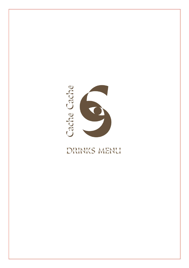

# **DRINKS MENU**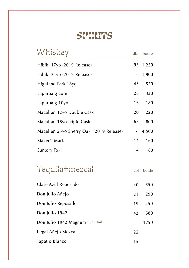# **SPIRITS**

| Whiskey                                 | dbl | bottle |
|-----------------------------------------|-----|--------|
| Hibiki 17yo (2019 Release)              | 95  | 1,250  |
| Hibiki 21yo (2019 Release)              |     | 1,900  |
| Highland Park 18yo                      | 45  | 520    |
| Laphroaig Lore                          | 28  | 330    |
| Laphroaig 10yo                          | 16  | 180    |
| Macallan 12yo Double Cask               | 20  | 220    |
| Macallan 18yo Triple Cask               | 65  | 800    |
| Macallan 25yo Sherry Oak (2019 Release) |     | 4,500  |
| Maker's Mark                            | 14  | 160    |
| <b>Suntory Toki</b>                     | 14  | 160    |

# Tequila+mezcal

| Clase Azul Reposado           | 40 | 550                      |
|-------------------------------|----|--------------------------|
| Don Julio Añejo               | 21 | 290                      |
| Don Julio Reposado            | 19 | 250                      |
| Don Julio 1942                | 42 | 580                      |
| Don Julio 1942 Magnum 1,750ml | -  | 1750                     |
| Ilegal Añejo Mezcal           | 25 | $\overline{\phantom{a}}$ |
| Tapatio Blanco                | 15 |                          |

dbl bottle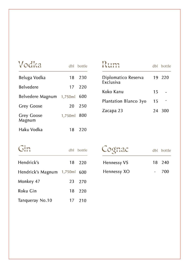| Vodka                       | dbl     | bottle |
|-----------------------------|---------|--------|
| Beluga Vodka                | 18      | 230    |
| <b>Belvedere</b>            |         | 17 220 |
| Belvedere Magnum            | 1,750ml | 600    |
| <b>Grey Goose</b>           | 20      | 250    |
| <b>Grey Goose</b><br>Magnum | 1,750ml | 800    |
| Haku Vodka                  | 18      | 220    |

| Rum                                     |    | dbl bottle |
|-----------------------------------------|----|------------|
| Diplomatico Reserva<br><b>Exclusiva</b> | 19 | 220        |
| Koko Kanu                               | 15 |            |
| Plantation Blanco 3yo                   | 15 |            |
| Zacapa 23                               | 74 | 300        |

| Gin               |         | dbl bottle |
|-------------------|---------|------------|
| Hendrick's        |         | 18 220     |
| Hendrick's Magnum | 1,750ml | 600        |
| Monkey 47         |         | 23 270     |
| Roku Gin          |         | 18 220     |
| Tanqueray No.10   | 17      | 210        |

| Lognac      | dbl bottle |
|-------------|------------|
| Hennessy VS | 18 240     |
| Hennessy XO | 700        |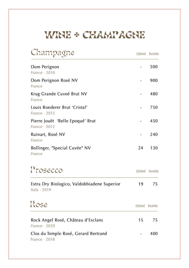# **WINE \* CHAMPAGNE**

| Champagne                                                   |              | 125ml bottle |
|-------------------------------------------------------------|--------------|--------------|
| Dom Perignon<br>France 2010                                 |              | 500          |
| Dom Perignon Rosé NV<br>France                              |              | 900          |
| Krug Grande Cuveé Brut NV<br>France                         |              | 480          |
| Louis Roederer Brut 'Cristal'<br>France 2012                |              | 750          |
| Pierre Jouët 'Belle Epoqué' Brut<br>$France \cdot 2012$     |              | 450          |
| Ruinart, Rosé NV<br>France                                  |              | 240          |
| Bollinger, "Special Cuvée" NV<br>France                     | 24           | 130          |
| Prosecco                                                    | 125ml        | bottle       |
| Extra Dry Biologico, Valdobbiadene Superior<br>Italy · 2019 | 19           | 75           |
| Rose                                                        | 125ml bottle |              |
| Rock Angel Rosé, Château d'Esclans<br>France 2020           | 15           | 75           |
| Clos du Temple Rosé, Gerard Bertrand<br>France $\cdot$ 2018 |              | 400          |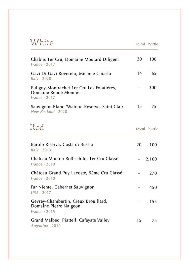| White                                                                                      | 125ml                    | bottle |
|--------------------------------------------------------------------------------------------|--------------------------|--------|
| Chablis 1er Cru, Domaine Moutard Diligent<br>France 2017                                   | 20                       | 100    |
| Gavi Di Gavi Rovereto, Michele Chiarlo<br>Italy $\cdot$ 2020                               | 14                       | 65     |
| Puligny-Montrachet 1er Cru Les Folatiéres,<br>Domaine Renné Monnier<br>$France \cdot 2017$ | ٠                        | 300    |
| Sauvignon Blanc 'Wairau' Reserve, Saint Clair<br>New Zealand . 2020                        | 15                       | 75     |
| Red                                                                                        | 125ml                    | bottle |
| Barolo Riserva, Costa di Bussia<br>Italy $\cdot$ 2013                                      | 20                       | 100    |
| Château Mouton Rothschild, 1er Cru Classé<br>France - 2010                                 | -                        | 2,100  |
| Château Grand Puy Lacoste, 5ème Cru Classé<br>$France \cdot 2010$                          |                          | 270    |
| Far Niente, Cabernet Sauvignon<br>$USA \cdot 2017$                                         | $\overline{\phantom{a}}$ | 450    |
| Gevrey-Chambertin, Creux Brouillard,<br>Domaine Pierre Naigeon<br>France 2015              | Ξ                        | 155    |
| Grand Malbec, Piattelli Cafayate Valley<br>Argentina - 2019                                | 15                       | 75     |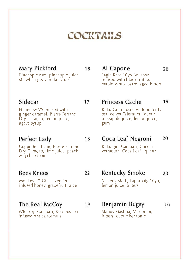# COCKTANS

18

17

## Mary Pickford

Pineapple rum, pineapple juice, strawberry & vanilla syrup

### Sidecar

Hennessy VS infused with ginger caramel, Pierre Ferrand Dry Curaçao, lemon juice, agave syrup

## Perfect Lady

18

Copperhead Gin, Pierre Ferrand Dry Curaçao, lime juice, peach & lychee foam

### **Bees Knees**

Monkey 47 Gin, lavender infused honey, grapefruit juice

### The Real McCoy

Whiskey, Campari, Rooibos tea infused Antica formula

22

19

## Benjamin Bugsy

Skinos Mastiha, Marioram, bitters, cucumber tonic

Maker's Mark, Laphroaig 10yo, lemon juice, bitters

**Kentucky Smoke** 

### Coca Leaf Negroni 20

Roku gin, Campari, Cocchi vermouth, Coca Leaf liqueur

# **Princess Cache**

Roku Gin infused with butterfly tea, Velvet Falernum liqueur, pineapple juice, lemon juice, gum

Eagle Rare 10yo Bourbon infused with black truffle, maple syrup, barrel aged bitters

Al Capone

## 19

20

16

26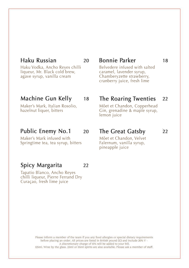### Haku Russian

20

Haku Vodka, Ancho Reves chilli liqueur, Mr. Black cold brew, agave syrup, vanilla cream

### Machine Gun Kelly 18

Maker's Mark, Italian Rosolio, hazelnut liquer, bitters

### Public Enemy No.1 20

Maker's Mark infused with Springtime tea, tea syrup, bitters

### Spicy Margarita 22

Tapatio Blanco, Ancho Reves chilli liqueur, Pierre Ferrand Dry Curaçao, fresh lime juice

**Bonnie Parker** 

### 18

Belvedere infused with salted caramel, lavender syrup, Chamberyzette strawberry, cranberry juice, fresh lime

### The Roaring Twenties 22

Môet et Chandon, Copperhead Gin, grenadine & maple syrup, lemon juice

### The Great Gatsby 22

Môet et Chandon, Velvet Falernum, vanilla syrup, pineapple juice

Please inform a member of the team if you any food allergies or special dietary requirements before placing an order. All prices are listed in British pound (E) and include 20% V -A discretionary charge of 15% will be added to your bill.

125ml. Wine by the glass. 25ml or 35ml spirits are also available. Please ask a member of staff.